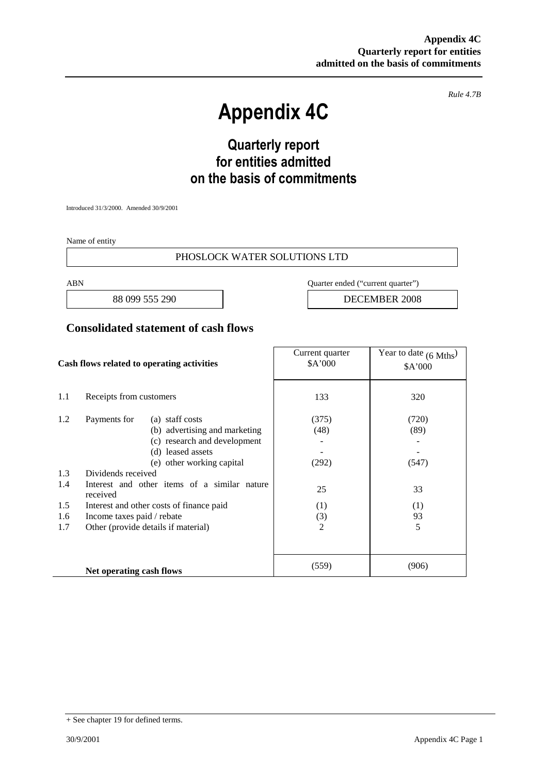*Rule 4.7B*

# **Appendix 4C**

## **Quarterly report for entities admitted on the basis of commitments**

Introduced 31/3/2000. Amended 30/9/2001

Name of entity

#### PHOSLOCK WATER SOLUTIONS LTD

ABN Quarter ended ("current quarter")

88 099 555 290 **DECEMBER 2008** 

### **Consolidated statement of cash flows**

| Cash flows related to operating activities |                                                          | Current quarter<br>\$A'000 | Year to date $(6$ Mths <sup>)</sup><br>\$A'000 |
|--------------------------------------------|----------------------------------------------------------|----------------------------|------------------------------------------------|
| 1.1                                        | Receipts from customers                                  | 133                        | 320                                            |
| 1.2                                        | Payments for<br>(a) staff costs                          | (375)                      | (720)                                          |
|                                            | (b) advertising and marketing                            | (48)                       | (89)                                           |
|                                            | (c) research and development                             |                            |                                                |
|                                            | (d) leased assets                                        |                            |                                                |
|                                            | (e) other working capital                                | (292)                      | (547)                                          |
| 1.3                                        | Dividends received                                       |                            |                                                |
| 1.4                                        | Interest and other items of a similar nature<br>received | 25                         | 33                                             |
| 1.5                                        | Interest and other costs of finance paid                 | (1)                        | (1)                                            |
| 1.6                                        | Income taxes paid / rebate                               | (3)                        | 93                                             |
| 1.7                                        | Other (provide details if material)                      | $\overline{2}$             | 5                                              |
|                                            |                                                          |                            |                                                |
|                                            | Net operating cash flows                                 | (559)                      | (906)                                          |

<sup>+</sup> See chapter 19 for defined terms.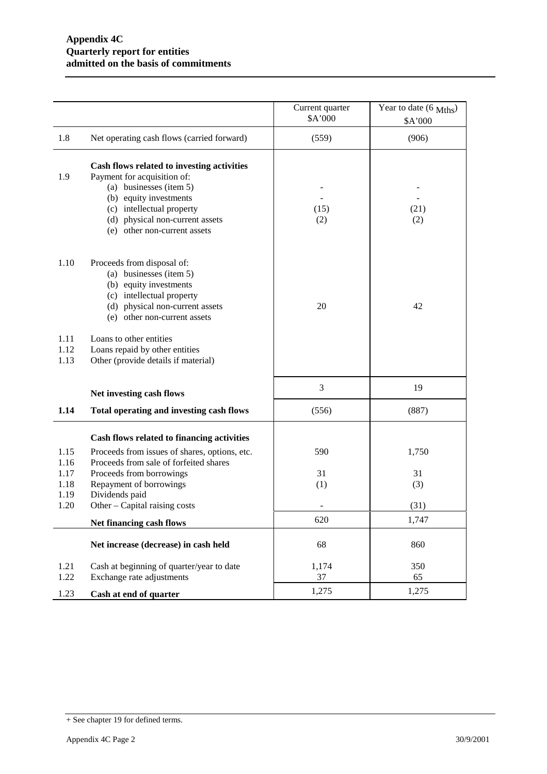|                      |                                                                                                                                                                                                                                | Current quarter<br>\$A'000 | Year to date (6 Mths)<br>\$A'000 |
|----------------------|--------------------------------------------------------------------------------------------------------------------------------------------------------------------------------------------------------------------------------|----------------------------|----------------------------------|
| 1.8                  | Net operating cash flows (carried forward)                                                                                                                                                                                     | (559)                      | (906)                            |
| 1.9                  | Cash flows related to investing activities<br>Payment for acquisition of:<br>(a) businesses (item 5)<br>(b) equity investments<br>(c) intellectual property<br>(d) physical non-current assets<br>(e) other non-current assets | (15)<br>(2)                | (21)<br>(2)                      |
| 1.10                 | Proceeds from disposal of:<br>(a) businesses (item 5)<br>(b) equity investments<br>(c) intellectual property<br>(d) physical non-current assets<br>(e) other non-current assets                                                | 20                         | 42                               |
| 1.11<br>1.12<br>1.13 | Loans to other entities<br>Loans repaid by other entities<br>Other (provide details if material)                                                                                                                               |                            |                                  |
|                      | Net investing cash flows                                                                                                                                                                                                       | 3                          | 19                               |
| 1.14                 | Total operating and investing cash flows                                                                                                                                                                                       | (556)                      | (887)                            |
| 1.15<br>1.16<br>1.17 | Cash flows related to financing activities<br>Proceeds from issues of shares, options, etc.<br>Proceeds from sale of forfeited shares<br>Proceeds from borrowings                                                              | 590<br>31                  | 1,750<br>31                      |
| 1.18<br>1.19         | Repayment of borrowings<br>Dividends paid                                                                                                                                                                                      | (1)                        | (3)                              |
| 1.20                 | Other – Capital raising costs                                                                                                                                                                                                  |                            | (31)                             |
|                      | Net financing cash flows                                                                                                                                                                                                       | 620                        | 1,747                            |
|                      | Net increase (decrease) in cash held                                                                                                                                                                                           | 68                         | 860                              |
| 1.21<br>1.22         | Cash at beginning of quarter/year to date<br>Exchange rate adjustments                                                                                                                                                         | 1,174<br>37                | 350<br>65                        |
| 1.23                 | Cash at end of quarter                                                                                                                                                                                                         | 1,275                      | 1,275                            |

<sup>+</sup> See chapter 19 for defined terms.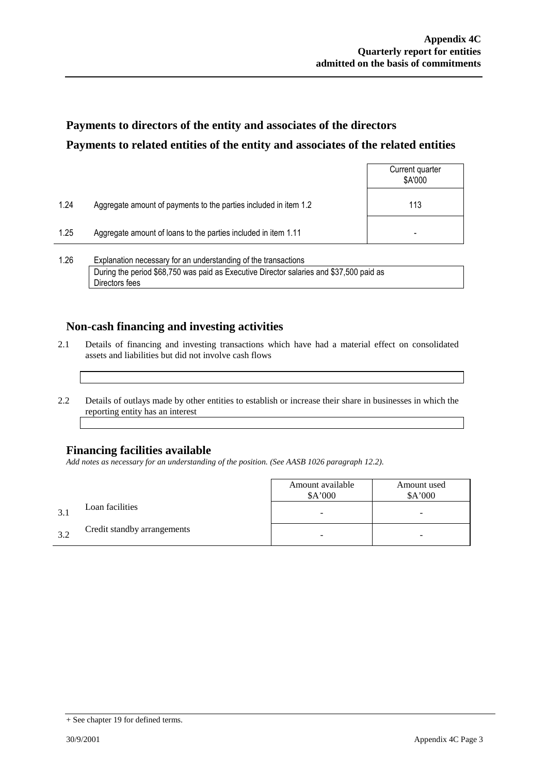### **Payments to directors of the entity and associates of the directors Payments to related entities of the entity and associates of the related entities**

|      |                                                                  | Current quarter<br>\$A'000 |
|------|------------------------------------------------------------------|----------------------------|
| 1.24 | Aggregate amount of payments to the parties included in item 1.2 | 113                        |
| 1.25 | Aggregate amount of loans to the parties included in item 1.11   | ٠                          |
|      |                                                                  |                            |

1.26 Explanation necessary for an understanding of the transactions During the period \$68,750 was paid as Executive Director salaries and \$37,500 paid as Directors fees

### **Non-cash financing and investing activities**

- 2.1 Details of financing and investing transactions which have had a material effect on consolidated assets and liabilities but did not involve cash flows
- 2.2 Details of outlays made by other entities to establish or increase their share in businesses in which the reporting entity has an interest

### **Financing facilities available**

*Add notes as necessary for an understanding of the position. (See AASB 1026 paragraph 12.2).*

|     |                             | Amount available<br>\$A'000 | Amount used<br>\$A'000 |
|-----|-----------------------------|-----------------------------|------------------------|
| 3.1 | Loan facilities             | -                           | -                      |
| 32  | Credit standby arrangements |                             | -                      |

<sup>+</sup> See chapter 19 for defined terms.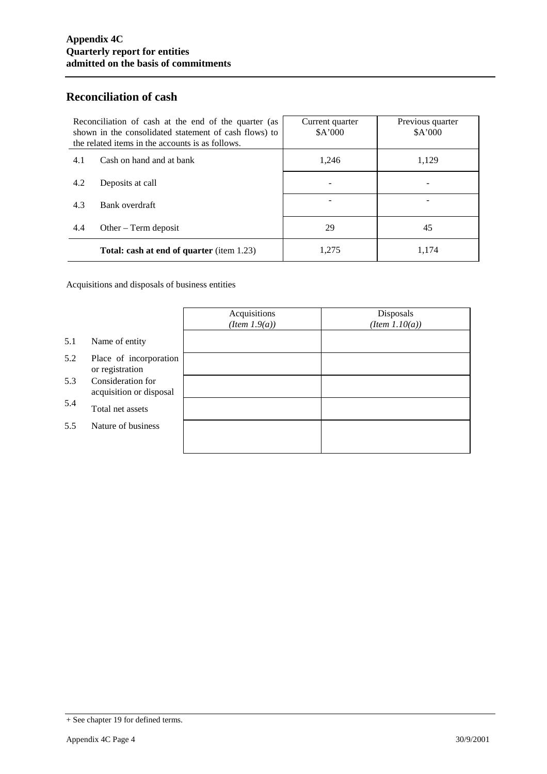### **Reconciliation of cash**

| Reconciliation of cash at the end of the quarter (as<br>shown in the consolidated statement of cash flows) to<br>the related items in the accounts is as follows. |                                                  | Current quarter<br>\$A'000 | Previous quarter<br>\$A'000 |
|-------------------------------------------------------------------------------------------------------------------------------------------------------------------|--------------------------------------------------|----------------------------|-----------------------------|
| 4.1                                                                                                                                                               | Cash on hand and at bank                         | 1,246                      | 1,129                       |
| 4.2                                                                                                                                                               | Deposits at call                                 |                            |                             |
| 4.3                                                                                                                                                               | Bank overdraft                                   |                            |                             |
| 4.4                                                                                                                                                               | Other $-$ Term deposit                           | 29                         | 45                          |
|                                                                                                                                                                   | <b>Total: cash at end of quarter</b> (item 1.23) | 1,275                      | 1,174                       |

Acquisitions and disposals of business entities

|     |                                              | Acquisitions<br>$(Item\ 1.9(a))$ | Disposals<br>$(Item\ 1.10(a))$ |
|-----|----------------------------------------------|----------------------------------|--------------------------------|
| 5.1 | Name of entity                               |                                  |                                |
| 5.2 | Place of incorporation<br>or registration    |                                  |                                |
| 5.3 | Consideration for<br>acquisition or disposal |                                  |                                |
| 5.4 | Total net assets                             |                                  |                                |
| 5.5 | Nature of business                           |                                  |                                |
|     |                                              |                                  |                                |

<sup>+</sup> See chapter 19 for defined terms.